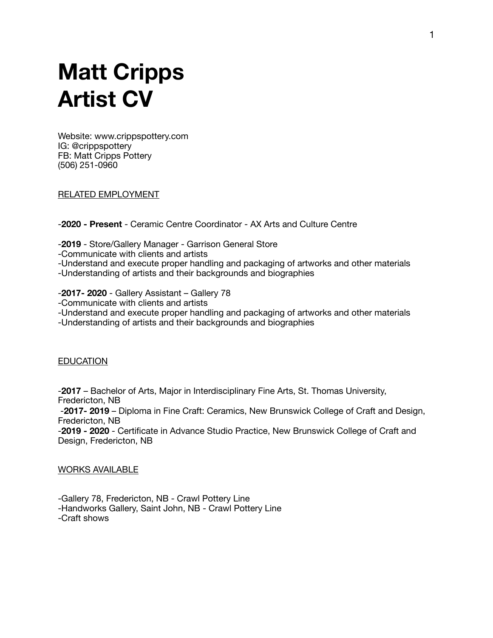# **Matt Cripps Artist CV**

Website: www.crippspottery.com IG: @crippspottery FB: Matt Cripps Pottery (506) 251-0960

RELATED EMPLOYMENT

-**2020 - Present** - Ceramic Centre Coordinator - AX Arts and Culture Centre

-**2019** - Store/Gallery Manager - Garrison General Store

-Communicate with clients and artists

-Understand and execute proper handling and packaging of artworks and other materials

-Understanding of artists and their backgrounds and biographies

-**2017- 2020** - Gallery Assistant – Gallery 78

-Communicate with clients and artists

-Understand and execute proper handling and packaging of artworks and other materials

-Understanding of artists and their backgrounds and biographies

## EDUCATION

-**2017** – Bachelor of Arts, Major in Interdisciplinary Fine Arts, St. Thomas University, Fredericton, NB

-**2017- 2019** – Diploma in Fine Craft: Ceramics, New Brunswick College of Craft and Design, Fredericton, NB

-**2019 - 2020** - Certificate in Advance Studio Practice, New Brunswick College of Craft and Design, Fredericton, NB

WORKS AVAILABLE

-Gallery 78, Fredericton, NB - Crawl Pottery Line -Handworks Gallery, Saint John, NB - Crawl Pottery Line -Craft shows